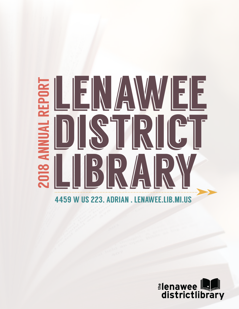# IEE **2018 ANNUAL REPORT** EINA F



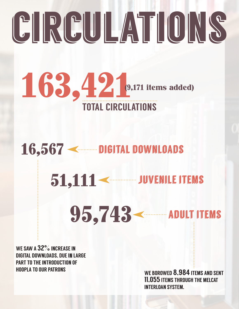# CIRCULATIONS



16,567 < DIGITAL DOWNLOADS

51,111 < JUVENILE ITEMS

95,743 **Exercise ADULT ITEMS** 

WE SAW A 32% INCREASE IN DIGITAL DOWNLOADS, DUE In LARGE PART TO THE INTRODUCTION OF HOOPLA TO OUR PATRONS

WE BOROWED 8,984 ITEMS AND SENT 11,055 ITEMS THROUGH THE MELCAT INTERLOAN SYSTEM.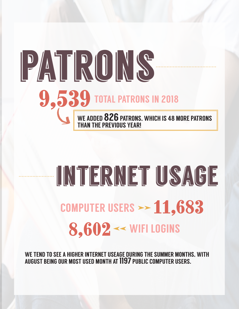### **9,539 TOTAL PATRONS IN 2018** PATRONS. WE ADDED 826 PATRONS, WHICH IS 48 MORE PATRONS THAN THE PREVIOUS YEAR!

### COMPUTER USERS  $\rightarrow$  11,683 INTERNET USAGE  $\blacktriangleright$  $8,602 \ll$  WIFI LOGINS d

WE TEND TO SEE A HIGHER INTERNET USEAGE DURING THE SUMMER MONTHS, WITH AUGUST BEING OUR MOST USED MONTH AT 1197 PUBLIC COMPUTER USERS.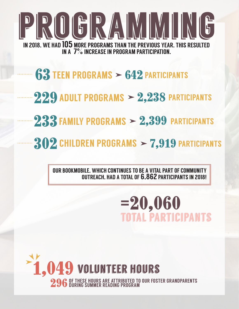

- $\blacktriangleright$  $63$  TEEN PROGRAMS  $> 642$  PARTICIPANTS
- $229$  ADULT PROGRAMS  $> 2,238$  PARTICIPANTS
- $233$  FAMILY PROGRAMS  $> 2,399$  PARTICIPANTS
- $302$  CHILDREN PROGRAMS  $\geq 7,919$  PARTICIPANTS

OUR BOOKMOBILE, WHICH CONTINUES TO BE A VITAL PART OF COMMUNITY OUTREACH, HAD A TOTAL OF 6,862 PARTICIPANTS IN 2018!

> =20,060 total participants

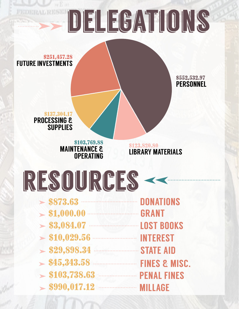#### $\blacktriangleright$ DELEGATIONS

\$251,457.28 FUTURE INVESTMENTS

> \$552,532.97 **PERSONNEL**

\$137,304.17 PROCESSING & **SUPPLIES** 

> \$103,769.88 MAINTENANCE & **OPERATING**

\$123,820.80 LIBRARY MATERIALS

 $\blacktriangleleft$ 

RESOURCES -

| > \$1,000.00                                  | <b>GRANT</b>             |
|-----------------------------------------------|--------------------------|
| > \$3,084.07                                  | <b>LOST BOOKS</b>        |
| $> $10,029.56$ Material INTEREST              |                          |
| $\sim$ \$29,898.34 <b>CONSERVED STATE AID</b> |                          |
|                                               | <b>FINES &amp; MISC.</b> |
| $\blacktriangleright$ \$103,738.63            | <b>PENAL FINES</b>       |
| $>$ \$990,017.12                              | <b>MILLAGE</b>           |